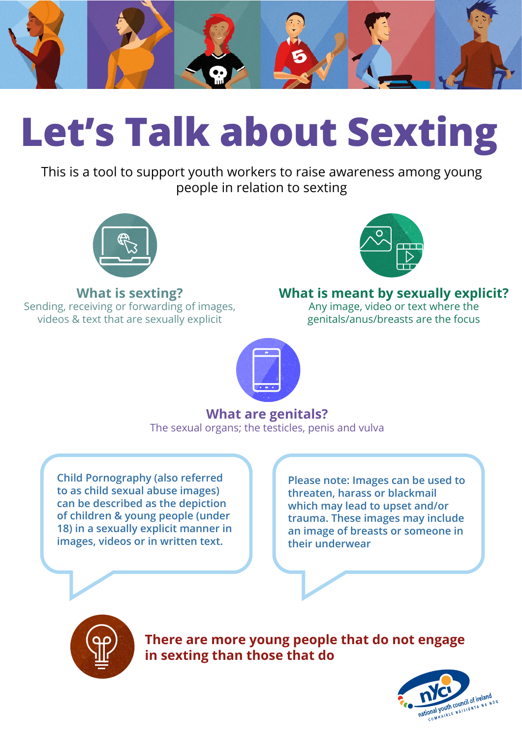

## **Let's Talk about Sexting**

This is a tool to support youth workers to raise awareness among young people in relation to sexting



## **What is sexting?**

Sending, receiving or forwarding of images, videos & text that are sexually explicit



## **What is meant by sexually explicit?**

Any image, video or text where the genitals/anus/breasts are the focus

## **What are genitals?** The sexual organs; the testicles, penis and vulva

**Child Pornography (also referred to as child sexual abuse images) can be described as the depiction of children & young people (under 18) in a sexually explicit manner in images, videos or in written text.**

**Please note: Images can be used to threaten, harass or blackmail which may lead to upset and/or trauma. These images may include an image of breasts or someone in their underwear**



**There are more young people that do not engage in sexting than those that do**

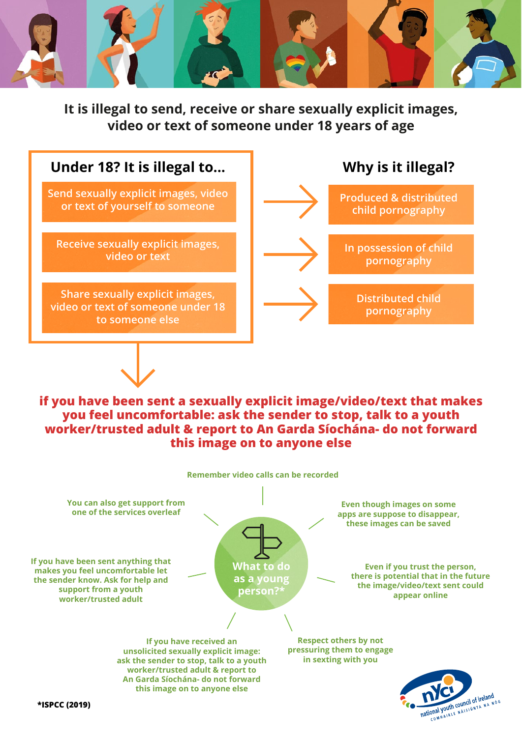

**It is illegal to send, receive or share sexually explicit images, video or text of someone under 18 years of age**



**if you have been sent a sexually explicit image/video/text that makes you feel uncomfortable: ask the sender to stop, talk to a youth worker/trusted adult & report to An Garda Síochána- do not forward this image on to anyone else**